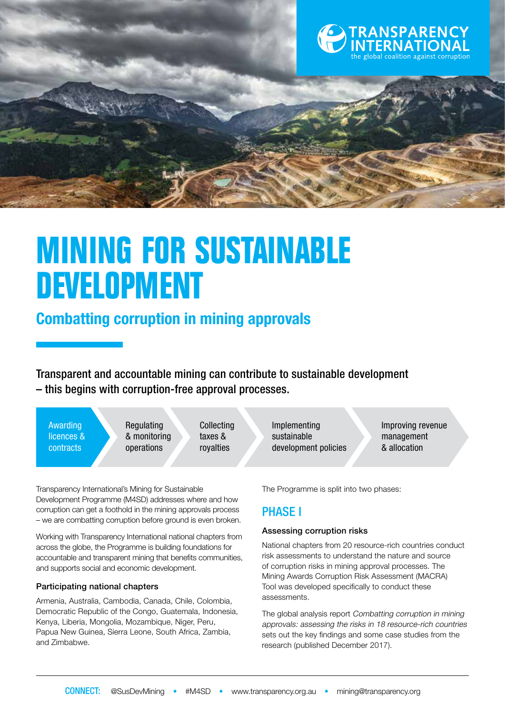

# **MINING FOR SUSTAINABLE DEVELOPMENT**

# **Combatting corruption in mining approvals**

Transparent and accountable mining can contribute to sustainable development – this begins with corruption-free approval processes.

Awarding licences & contracts

**Regulating** & monitoring operations

Collecting taxes & royalties

Transparency International's Mining for Sustainable Development Programme (M4SD) addresses where and how corruption can get a foothold in the mining approvals process – we are combatting corruption before ground is even broken.

Working with Transparency International national chapters from across the globe, the Programme is building foundations for accountable and transparent mining that benefits communities, and supports social and economic development.

#### Participating national chapters

Armenia, Australia, Cambodia, Canada, Chile, Colombia, Democratic Republic of the Congo, Guatemala, Indonesia, Kenya, Liberia, Mongolia, Mozambique, Niger, Peru, Papua New Guinea, Sierra Leone, South Africa, Zambia, and Zimbabwe.

Implementing sustainable development policies Improving revenue management & allocation

The Programme is split into two phases:

### PHASE I

#### Assessing corruption risks

National chapters from 20 resource-rich countries conduct risk assessments to understand the nature and source of corruption risks in mining approval processes. The Mining Awards Corruption Risk Assessment (MACRA) Tool was developed specifically to conduct these assessments.

The global analysis report Combatting corruption in mining approvals: assessing the risks in 18 resource-rich countries sets out the key findings and some case studies from the research (published December 2017).